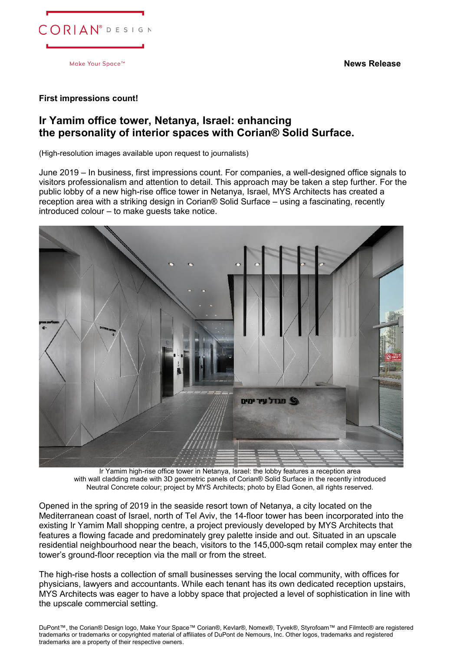**News Release**



Make Your Space<sup>™</sup>

## **First impressions count!**

## **Ir Yamim office tower, Netanya, Israel: enhancing the personality of interior spaces with Corian® Solid Surface.**

(High-resolution images available upon request to journalists)

June 2019 – In business, first impressions count. For companies, a well-designed office signals to visitors professionalism and attention to detail. This approach may be taken a step further. For the public lobby of a new high-rise office tower in Netanya, Israel, MYS Architects has created a reception area with a striking design in Corian® Solid Surface – using a fascinating, recently introduced colour – to make guests take notice.



Ir Yamim high-rise office tower in Netanya, Israel: the lobby features a reception area with wall cladding made with 3D geometric panels of Corian® Solid Surface in the recently introduced Neutral Concrete colour; project by MYS Architects; photo by Elad Gonen, all rights reserved.

Opened in the spring of 2019 in the seaside resort town of Netanya, a city located on the Mediterranean coast of Israel, north of Tel Aviv, the 14-floor tower has been incorporated into the existing Ir Yamim Mall shopping centre, a project previously developed by MYS Architects that features a flowing facade and predominately grey palette inside and out. Situated in an upscale residential neighbourhood near the beach, visitors to the 145,000-sqm retail complex may enter the tower's ground-floor reception via the mall or from the street.

The high-rise hosts a collection of small businesses serving the local community, with offices for physicians, lawyers and accountants. While each tenant has its own dedicated reception upstairs, MYS Architects was eager to have a lobby space that projected a level of sophistication in line with the upscale commercial setting.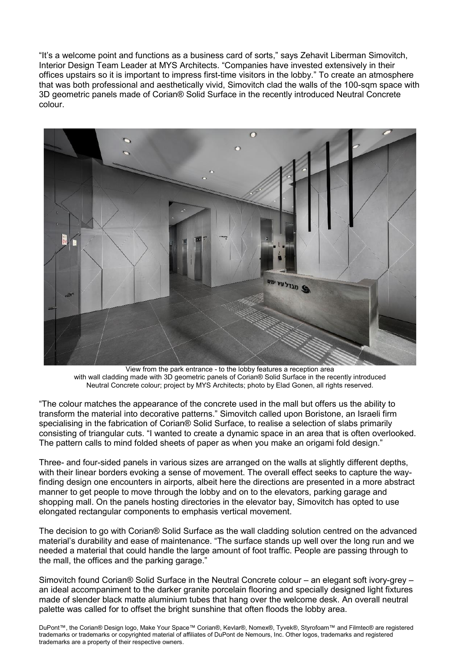"It's a welcome point and functions as a business card of sorts," says Zehavit Liberman Simovitch, Interior Design Team Leader at MYS Architects. "Companies have invested extensively in their offices upstairs so it is important to impress first-time visitors in the lobby." To create an atmosphere that was both professional and aesthetically vivid, Simovitch clad the walls of the 100-sqm space with 3D geometric panels made of Corian® Solid Surface in the recently introduced Neutral Concrete colour.



View from the park entrance - to the lobby features a reception area with wall cladding made with 3D geometric panels of Corian® Solid Surface in the recently introduced Neutral Concrete colour; project by MYS Architects; photo by Elad Gonen, all rights reserved.

"The colour matches the appearance of the concrete used in the mall but offers us the ability to transform the material into decorative patterns." Simovitch called upon Boristone, an Israeli firm specialising in the fabrication of Corian® Solid Surface, to realise a selection of slabs primarily consisting of triangular cuts. "I wanted to create a dynamic space in an area that is often overlooked. The pattern calls to mind folded sheets of paper as when you make an origami fold design."

Three- and four-sided panels in various sizes are arranged on the walls at slightly different depths, with their linear borders evoking a sense of movement. The overall effect seeks to capture the wayfinding design one encounters in airports, albeit here the directions are presented in a more abstract manner to get people to move through the lobby and on to the elevators, parking garage and shopping mall. On the panels hosting directories in the elevator bay, Simovitch has opted to use elongated rectangular components to emphasis vertical movement.

The decision to go with Corian® Solid Surface as the wall cladding solution centred on the advanced material's durability and ease of maintenance. "The surface stands up well over the long run and we needed a material that could handle the large amount of foot traffic. People are passing through to the mall, the offices and the parking garage."

Simovitch found Corian® Solid Surface in the Neutral Concrete colour – an elegant soft ivory-grey – an ideal accompaniment to the darker granite porcelain flooring and specially designed light fixtures made of slender black matte aluminium tubes that hang over the welcome desk. An overall neutral palette was called for to offset the bright sunshine that often floods the lobby area.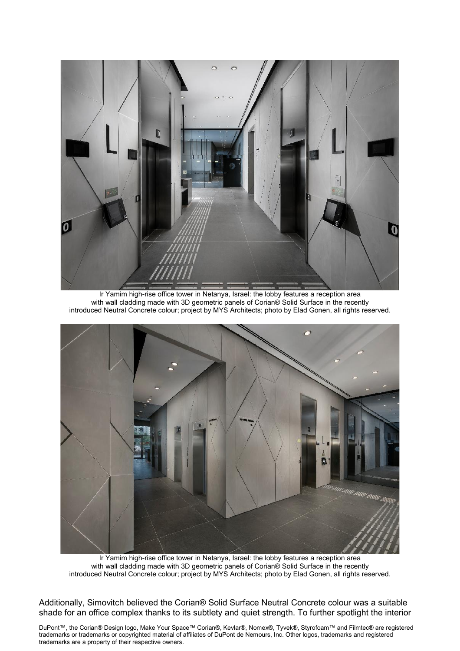

Ir Yamim high-rise office tower in Netanya, Israel: the lobby features a reception area with wall cladding made with 3D geometric panels of Corian® Solid Surface in the recently introduced Neutral Concrete colour; project by MYS Architects; photo by Elad Gonen, all rights reserved.



Ir Yamim high-rise office tower in Netanya, Israel: the lobby features a reception area with wall cladding made with 3D geometric panels of Corian® Solid Surface in the recently introduced Neutral Concrete colour; project by MYS Architects; photo by Elad Gonen, all rights reserved.

Additionally, Simovitch believed the Corian® Solid Surface Neutral Concrete colour was a suitable shade for an office complex thanks to its subtlety and quiet strength. To further spotlight the interior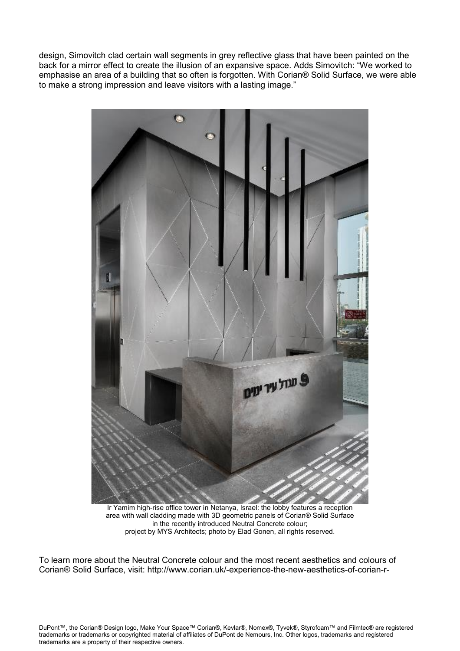design, Simovitch clad certain wall segments in grey reflective glass that have been painted on the back for a mirror effect to create the illusion of an expansive space. Adds Simovitch: "We worked to emphasise an area of a building that so often is forgotten. With Corian® Solid Surface, we were able to make a strong impression and leave visitors with a lasting image."



Ir Yamim high-rise office tower in Netanya, Israel: the lobby features a reception area with wall cladding made with 3D geometric panels of Corian® Solid Surface in the recently introduced Neutral Concrete colour; project by MYS Architects; photo by Elad Gonen, all rights reserved.

To learn more about the Neutral Concrete colour and the most recent aesthetics and colours of Corian® Solid Surface, visit:<http://www.corian.uk/-experience-the-new-aesthetics-of-corian-r->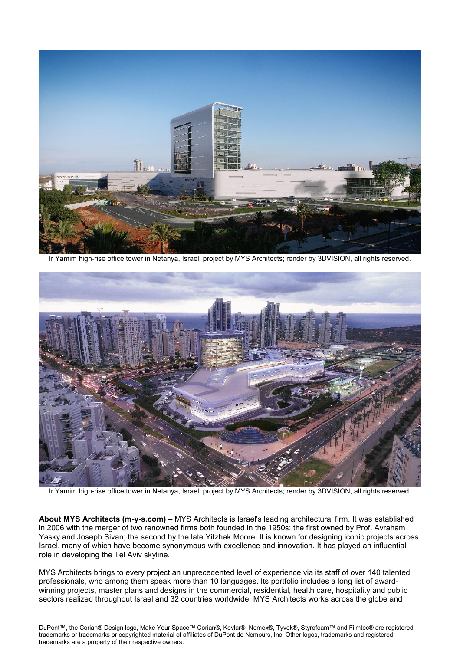

Ir Yamim high-rise office tower in Netanya, Israel; project by MYS Architects; render by 3DVISION, all rights reserved.



Ir Yamim high-rise office tower in Netanya, Israel; project by MYS Architects; render by 3DVISION, all rights reserved.

**About MYS Architects (m-y-s.com) –** MYS Architects is Israel's leading architectural firm. It was established in 2006 with the merger of two renowned firms both founded in the 1950s: the first owned by Prof. Avraham Yasky and Joseph Sivan; the second by the late Yitzhak Moore. It is known for designing iconic projects across Israel, many of which have become synonymous with excellence and innovation. It has played an influential role in developing the Tel Aviv skyline.

MYS Architects brings to every project an unprecedented level of experience via its staff of over 140 talented professionals, who among them speak more than 10 languages. Its portfolio includes a long list of awardwinning projects, master plans and designs in the commercial, residential, health care, hospitality and public sectors realized throughout Israel and 32 countries worldwide. MYS Architects works across the globe and